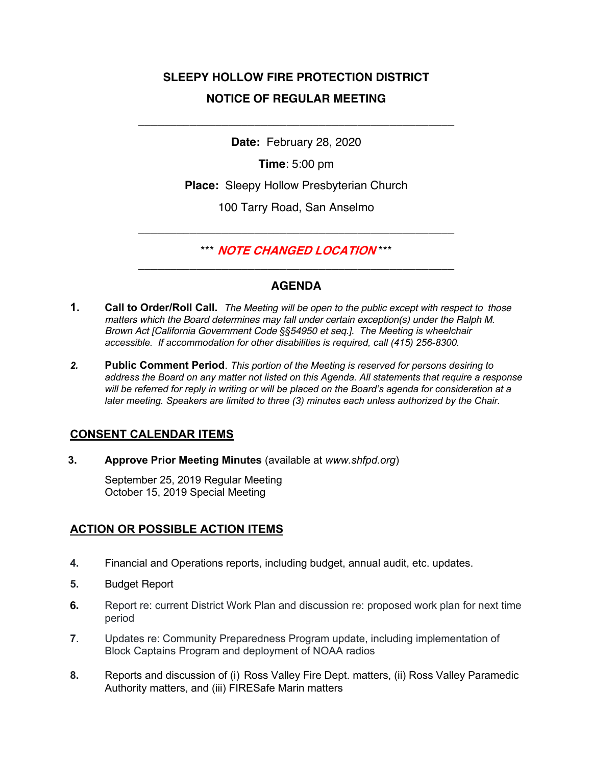# **SLEEPY HOLLOW FIRE PROTECTION DISTRICT NOTICE OF REGULAR MEETING**

**Date:** February 28, 2020

\_\_\_\_\_\_\_\_\_\_\_\_\_\_\_\_\_\_\_\_\_\_\_\_\_\_\_\_\_\_\_\_\_\_\_\_\_\_\_\_\_\_\_\_\_\_\_\_\_

**Time**: 5:00 pm

**Place:** Sleepy Hollow Presbyterian Church

100 Tarry Road, San Anselmo

\*\*\* **NOTE CHANGED LOCATION** \*\*\* \_\_\_\_\_\_\_\_\_\_\_\_\_\_\_\_\_\_\_\_\_\_\_\_\_\_\_\_\_\_\_\_\_\_\_\_\_\_\_\_\_\_\_\_\_\_\_\_\_

\_\_\_\_\_\_\_\_\_\_\_\_\_\_\_\_\_\_\_\_\_\_\_\_\_\_\_\_\_\_\_\_\_\_\_\_\_\_\_\_\_\_\_\_\_\_\_\_\_

## **AGENDA**

- **1. Call to Order/Roll Call.** *The Meeting will be open to the public except with respect to those matters which the Board determines may fall under certain exception(s) under the Ralph M. Brown Act [California Government Code §§54950 et seq.]. The Meeting is wheelchair accessible. If accommodation for other disabilities is required, call (415) 256-8300.*
- *2.* **Public Comment Period**. *This portion of the Meeting is reserved for persons desiring to address the Board on any matter not listed on this Agenda. All statements that require a response will be referred for reply in writing or will be placed on the Board's agenda for consideration at a later meeting. Speakers are limited to three (3) minutes each unless authorized by the Chair.*

## **CONSENT CALENDAR ITEMS**

**3. Approve Prior Meeting Minutes** (available at *www.shfpd.org*)

September 25, 2019 Regular Meeting October 15, 2019 Special Meeting

## **ACTION OR POSSIBLE ACTION ITEMS**

- **4.** Financial and Operations reports, including budget, annual audit, etc. updates.
- **5.** Budget Report
- **6.** Report re: current District Work Plan and discussion re: proposed work plan for next time period
- **7**. Updates re: Community Preparedness Program update, including implementation of Block Captains Program and deployment of NOAA radios
- **8.** Reports and discussion of (i) Ross Valley Fire Dept. matters, (ii) Ross Valley Paramedic Authority matters, and (iii) FIRESafe Marin matters